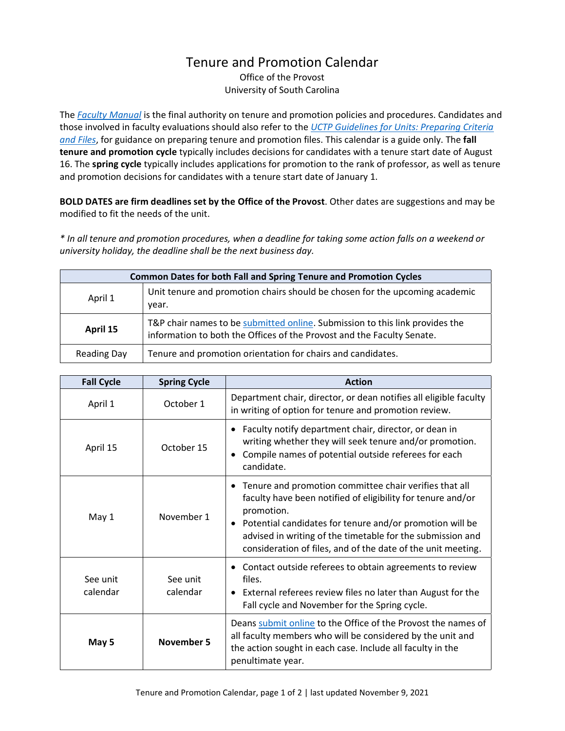## Tenure and Promotion Calendar

Office of the Provost University of South Carolina

The *[Faculty Manual](https://sc.edu/about/offices_and_divisions/provost/policiesandprocedures/facultymanuals/index.php)* is the final authority on tenure and promotion policies and procedures. Candidates and those involved in faculty evaluations should also refer to the *[UCTP Guidelines for Units: Preparing Criteria](https://sc.edu/provost/forms/goldenrod.pdf)  [and Files](https://sc.edu/provost/forms/goldenrod.pdf)*, for guidance on preparing tenure and promotion files. This calendar is a guide only. The **fall tenure and promotion cycle** typically includes decisions for candidates with a tenure start date of August 16. The **spring cycle** typically includes applications for promotion to the rank of professor, as well as tenure and promotion decisions for candidates with a tenure start date of January 1.

**BOLD DATES are firm deadlines set by the Office of the Provost**. Other dates are suggestions and may be modified to fit the needs of the unit.

*\* In all tenure and promotion procedures, when a deadline for taking some action falls on a weekend or university holiday, the deadline shall be the next business day.*

| <b>Common Dates for both Fall and Spring Tenure and Promotion Cycles</b> |                                                                                                                                                        |  |  |
|--------------------------------------------------------------------------|--------------------------------------------------------------------------------------------------------------------------------------------------------|--|--|
| April 1                                                                  | Unit tenure and promotion chairs should be chosen for the upcoming academic<br>year.                                                                   |  |  |
| April 15                                                                 | T&P chair names to be submitted online. Submission to this link provides the<br>information to both the Offices of the Provost and the Faculty Senate. |  |  |
| Reading Day                                                              | Tenure and promotion orientation for chairs and candidates.                                                                                            |  |  |

| <b>Fall Cycle</b>    | <b>Spring Cycle</b>  | <b>Action</b>                                                                                                                                                                                                                                                                                                                   |
|----------------------|----------------------|---------------------------------------------------------------------------------------------------------------------------------------------------------------------------------------------------------------------------------------------------------------------------------------------------------------------------------|
| April 1              | October 1            | Department chair, director, or dean notifies all eligible faculty<br>in writing of option for tenure and promotion review.                                                                                                                                                                                                      |
| April 15             | October 15           | Faculty notify department chair, director, or dean in<br>writing whether they will seek tenure and/or promotion.<br>Compile names of potential outside referees for each<br>candidate.                                                                                                                                          |
| May 1                | November 1           | Tenure and promotion committee chair verifies that all<br>faculty have been notified of eligibility for tenure and/or<br>promotion.<br>• Potential candidates for tenure and/or promotion will be<br>advised in writing of the timetable for the submission and<br>consideration of files, and of the date of the unit meeting. |
| See unit<br>calendar | See unit<br>calendar | Contact outside referees to obtain agreements to review<br>files.<br>• External referees review files no later than August for the<br>Fall cycle and November for the Spring cycle.                                                                                                                                             |
| May 5                | <b>November 5</b>    | Deans submit online to the Office of the Provost the names of<br>all faculty members who will be considered by the unit and<br>the action sought in each case. Include all faculty in the<br>penultimate year.                                                                                                                  |